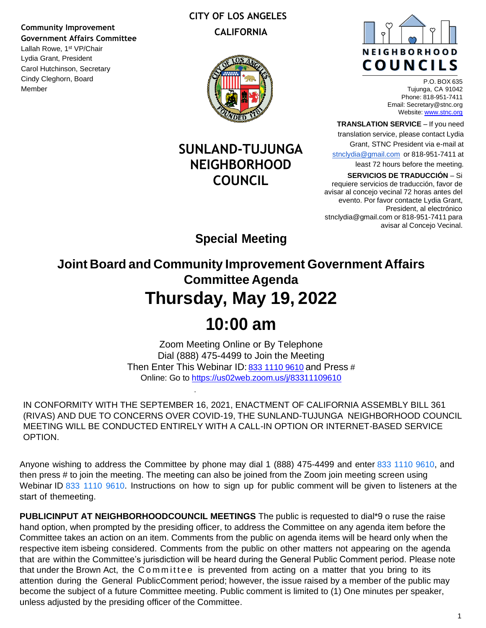### **Community Improvement Government Affairs Committee**

Lallah Rowe, 1<sup>st</sup> VP/Chair Lydia Grant, President Carol Hutchinson, Secretary Cindy Cleghorn, Board Member

### **CITY OF LOS ANGELES CALIFORNIA**



## **SUNLAND-TUJUNGA NEIGHBORHOOD COUNCIL**



P.O. BOX 635 Tujunga, CA 91042 Phone: 818-951-7411 Email: Secretary@stnc.org Website: www.stnc.org

**TRANSLATION SERVICE** – If you need

translation service, please contact Lydia

Grant, STNC President via e-mail at stnclydia@gmail.com or 818-951-7411 at

least 72 hours before the meeting.

**SERVICIOS DE TRADUCCIÓN** – Si

requiere servicios de traducción, favor de avisar al concejo vecinal 72 horas antes del evento. Por favor contacte Lydia Grant, President, al electrónico stnclydia@gmail.com or 818-951-7411 para avisar al Concejo Vecinal.

**Special Meeting**

**Joint Board and Community Improvement Government Affairs Committee Agenda Thursday, May 19, 2022**

# **10:00 am**

Zoom Meeting Online or By Telephone Dial (888) 475-4499 to Join the Meeting Then Enter This Webinar ID: 833 1110 9610 and Press # Online: Go to https://us02web.zoom.us/j/83311109610

IN CONFORMITY WITH THE SEPTEMBER 16, 2021, ENACTMENT OF CALIFORNIA ASSEMBLY BILL 361 (RIVAS) AND DUE TO CONCERNS OVER COVID-19, THE SUNLAND-TUJUNGA NEIGHBORHOOD COUNCIL MEETING WILL BE CONDUCTED ENTIRELY WITH A CALL-IN OPTION OR INTERNET-BASED SERVICE OPTION.

Anyone wishing to address the Committee by phone may dial 1 (888) 475-4499 and enter 833 1110 9610, and then press # to join the meeting. The meeting can also be joined from the Zoom join meeting screen using Webinar ID 833 1110 9610. Instructions on how to sign up for public comment will be given to listeners at the start of themeeting.

**PUBLICINPUT AT NEIGHBORHOODCOUNCIL MEETINGS** The public is requested to dial\*9 o ruse the raise hand option, when prompted by the presiding officer, to address the Committee on any agenda item before the Committee takes an action on an item. Comments from the public on agenda items will be heard only when the respective item isbeing considered. Comments from the public on other matters not appearing on the agenda that are within the Committee's jurisdiction will be heard during the General Public Comment period. Please note that under the Brown Act, the Committee is prevented from acting on a matter that you bring to its attention during the General PublicComment period; however, the issue raised by a member of the public may become the subject of a future Committee meeting. Public comment is limited to (1) One minutes per speaker, unless adjusted by the presiding officer of the Committee.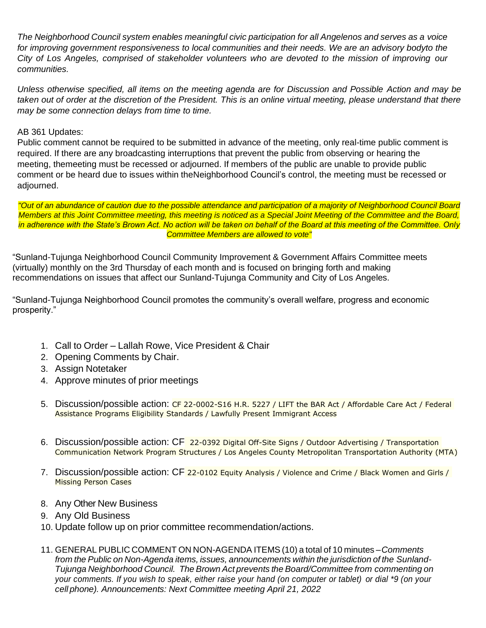*The Neighborhood Council system enables meaningful civic participation for all Angelenos and serves as a voice for improving government responsiveness to local communities and their needs. We are an advisory bodyto the City of Los Angeles, comprised of stakeholder volunteers who are devoted to the mission of improving our communities.*

*Unless otherwise specified, all items on the meeting agenda are for Discussion and Possible Action and may be taken out of order at the discretion of the President. This is an online virtual meeting, please understand that there may be some connection delays from time to time.*

#### AB 361 Updates:

Public comment cannot be required to be submitted in advance of the meeting, only real-time public comment is required. If there are any broadcasting interruptions that prevent the public from observing or hearing the meeting, themeeting must be recessed or adjourned. If members of the public are unable to provide public comment or be heard due to issues within theNeighborhood Council's control, the meeting must be recessed or adjourned.

"Out of an abundance of caution due to the possible attendance and participation of a majority of Neighborhood Council Board *Members at this Joint Committee meeting, this meeting is noticed as a Special Joint Meeting of the Committee and the Board, in adherence with the State's Brown Act. No action will be taken on behalf of the Board at this meeting of the Committee. Only Committee Members are allowed to vote"*

"Sunland-Tujunga Neighborhood Council Community Improvement & Government Affairs Committee meets (virtually) monthly on the 3rd Thursday of each month and is focused on bringing forth and making recommendations on issues that affect our Sunland-Tujunga Community and City of Los Angeles.

"Sunland-Tujunga Neighborhood Council promotes the community's overall welfare, progress and economic prosperity."

- 1. Call to Order Lallah Rowe, Vice President & Chair
- 2. Opening Comments by Chair.
- 3. Assign Notetaker
- 4. Approve minutes of prior meetings
- 5. Discussion/possible action: CF 22-0002-S16 H.R. 5227 / LIFT the BAR Act / Affordable Care Act / Federal Assistance Programs Eligibility Standards / Lawfully Present Immigrant Access
- 6. Discussion/possible action: CF 22-0392 Digital Off-Site Signs / Outdoor Advertising / Transportation Communication Network Program Structures / Los Angeles County Metropolitan Transportation Authority (MTA)
- 7. Discussion/possible action: CF 22-0102 Equity Analysis / Violence and Crime / Black Women and Girls / Missing Person Cases
- 8. Any Other New Business
- 9. Any Old Business
- 10. Update follow up on prior committee recommendation/actions.
- 11. GENERAL PUBLIC COMMENT ON NON-AGENDA ITEMS (10) a total of 10 minutes –*Comments from the Public on Non-Agenda items, issues, announcements within the jurisdiction of the Sunland-Tujunga Neighborhood Council. The Brown Act prevents the Board/Committee from commenting on* your comments. If you wish to speak, either raise your hand (on computer or tablet) or dial \*9 (on your *cell phone). Announcements: Next Committee meeting April 21, 2022*